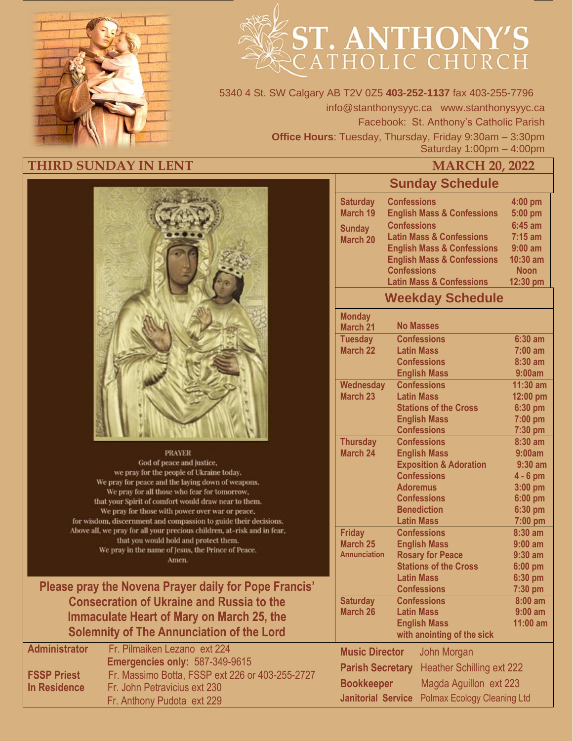

# ST. ANTHONY'S

5340 4 St. SW Calgary AB T2V 0Z5 **403-252-1137** fax 403-255-7796 info@stanthonysyyc.ca www.stanthonysyyc.ca Facebook: St. Anthony's Catholic Parish **Office Hours**: Tuesday, Thursday, Friday 9:30am – 3:30pm Saturday 1:00pm – 4:00pm

## **THIRD SUNDAY IN LENT MARCH 20, 2022**



#### **PRAYER**

God of peace and justice, we pray for the people of Ukraine today. We pray for peace and the laying down of weapons. We pray for all those who fear for tomorrow, that your Spirit of comfort would draw near to them. We pray for those with power over war or peace, for wisdom, discernment and compassion to guide their decisions. Above all, we pray for all your precious children, at-risk and in fear, that you would hold and protect them. We pray in the name of Jesus, the Prince of Peace. Amen.

**Please pray the Novena Prayer daily for Pope Francis' Consecration of Ukraine and Russia to the Immaculate Heart of Mary on March 25, the Solemnity of The Annunciation of the Lord**

| <b>Administrator</b> | Fr. Pilmaiken Lezano ext 224                    |
|----------------------|-------------------------------------------------|
|                      | Emergencies only: 587-349-9615                  |
| <b>FSSP Priest</b>   | Fr. Massimo Botta, FSSP ext 226 or 403-255-2727 |
| In Residence         | Fr. John Petravicius ext 230                    |
|                      | Fr. Anthony Pudota ext 229                      |

# **Sunday Schedule**

|                                         | <b>Sunday Sundang</b>                     |                        |  |  |  |
|-----------------------------------------|-------------------------------------------|------------------------|--|--|--|
| <b>Saturday</b>                         | <b>Confessions</b>                        | 4:00 pm                |  |  |  |
| March 19                                | <b>English Mass &amp; Confessions</b>     | 5:00 pm                |  |  |  |
| <b>Sunday</b>                           | <b>Confessions</b>                        | $6:45$ am              |  |  |  |
| <b>March 20</b>                         | <b>Latin Mass &amp; Confessions</b>       | $7:15$ am              |  |  |  |
|                                         | <b>English Mass &amp; Confessions</b>     | $9:00$ am              |  |  |  |
|                                         | <b>English Mass &amp; Confessions</b>     | 10:30 am               |  |  |  |
|                                         | <b>Confessions</b>                        | <b>Noon</b>            |  |  |  |
|                                         | <b>Latin Mass &amp; Confessions</b>       | 12:30 pm               |  |  |  |
|                                         | <b>Weekday Schedule</b>                   |                        |  |  |  |
| <b>Monday</b>                           |                                           |                        |  |  |  |
| March 21                                | <b>No Masses</b>                          |                        |  |  |  |
| <b>Tuesday</b>                          | <b>Confessions</b>                        | $6:30$ am              |  |  |  |
| <b>March 22</b>                         | <b>Latin Mass</b><br><b>Confessions</b>   | $7:00$ am              |  |  |  |
|                                         |                                           | 8:30 am<br>9:00am      |  |  |  |
|                                         | <b>English Mass</b><br><b>Confessions</b> | 11:30 am               |  |  |  |
| <b>Wednesday</b><br>March <sub>23</sub> | <b>Latin Mass</b>                         | 12:00 pm               |  |  |  |
|                                         | <b>Stations of the Cross</b>              | 6:30 pm                |  |  |  |
|                                         | <b>English Mass</b>                       | 7:00 pm                |  |  |  |
|                                         | <b>Confessions</b>                        | 7:30 pm                |  |  |  |
| <b>Thursday</b>                         | <b>Confessions</b>                        | $8:30$ am              |  |  |  |
| <b>March 24</b>                         | <b>English Mass</b>                       | 9:00am                 |  |  |  |
|                                         | <b>Exposition &amp; Adoration</b>         | $9:30$ am              |  |  |  |
|                                         | <b>Confessions</b>                        | $4 - 6$ pm             |  |  |  |
|                                         | <b>Adoremus</b>                           | 3:00 pm                |  |  |  |
|                                         | <b>Confessions</b>                        | 6:00 pm                |  |  |  |
|                                         | <b>Benediction</b>                        | 6:30 pm                |  |  |  |
|                                         | <b>Latin Mass</b>                         | 7:00 pm                |  |  |  |
| <b>Friday</b>                           | <b>Confessions</b>                        | $8:30$ am              |  |  |  |
| March <sub>25</sub>                     | <b>English Mass</b>                       | $9:00$ am              |  |  |  |
| <b>Annunciation</b>                     | <b>Rosary for Peace</b>                   | $9:30$ am              |  |  |  |
|                                         | <b>Stations of the Cross</b>              | 6:00 pm                |  |  |  |
|                                         | <b>Latin Mass</b>                         | 6:30 pm                |  |  |  |
|                                         | <b>Confessions</b><br><b>Confessions</b>  | 7:30 pm                |  |  |  |
| <b>Saturday</b><br><b>March 26</b>      | <b>Latin Mass</b>                         | $8:00$ am<br>$9:00$ am |  |  |  |
|                                         | <b>English Mass</b>                       | 11:00 am               |  |  |  |
|                                         | with anointing of the sick                |                        |  |  |  |
| <b>Music Director</b><br>John Morgan    |                                           |                        |  |  |  |
| <b>Parish Secretary</b>                 | <b>Heather Schilling ext 222</b>          |                        |  |  |  |
| <b>Bookkeeper</b>                       | Magda Aguillon ext 223                    |                        |  |  |  |
| <b>Janitorial Service</b>               | <b>Polmax Ecology Cleaning Ltd</b>        |                        |  |  |  |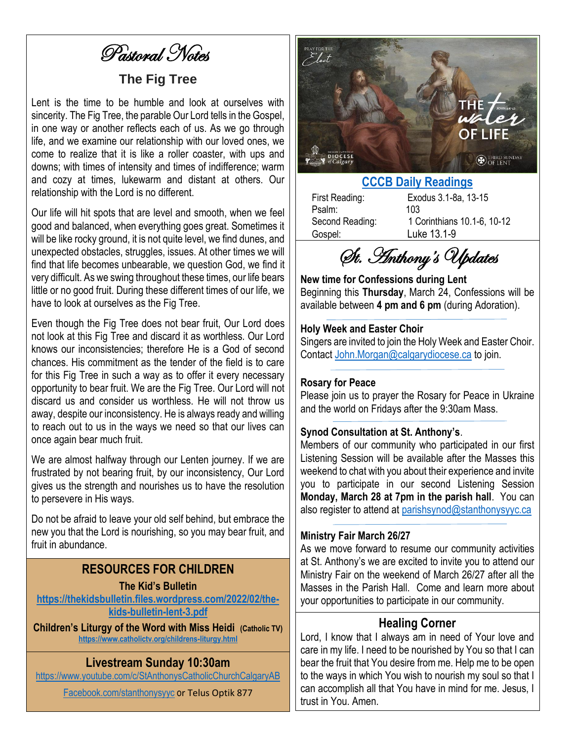Pastoral Notes

# **The Fig Tree**

Lent is the time to be humble and look at ourselves with sincerity. The Fig Tree, the parable Our Lord tells in the Gospel. in one way or another reflects each of us. As we go through life, and we examine our relationship with our loved ones, we come to realize that it is like a roller coaster, with ups and downs; with times of intensity and times of indifference; warm and cozy at times, lukewarm and distant at others. Our relationship with the Lord is no different.

Our life will hit spots that are level and smooth, when we feel good and balanced, when everything goes great. Sometimes it will be like rocky ground, it is not quite level, we find dunes, and unexpected obstacles, struggles, issues. At other times we will find that life becomes unbearable, we question God, we find it very difficult. As we swing throughout these times, our life bears little or no good fruit. During these different times of our life, we have to look at ourselves as the Fig Tree.

Even though the Fig Tree does not bear fruit, Our Lord does not look at this Fig Tree and discard it as worthless. Our Lord knows our inconsistencies; therefore He is a God of second chances. His commitment as the tender of the field is to care for this Fig Tree in such a way as to offer it every necessary opportunity to bear fruit. We are the Fig Tree. Our Lord will not discard us and consider us worthless. He will not throw us away, despite our inconsistency. He is always ready and willing to reach out to us in the ways we need so that our lives can once again bear much fruit.

We are almost halfway through our Lenten journey. If we are frustrated by not bearing fruit, by our inconsistency, Our Lord gives us the strength and nourishes us to have the resolution to persevere in His ways.

Do not be afraid to leave your old self behind, but embrace the new you that the Lord is nourishing, so you may bear fruit, and fruit in abundance.

## **RESOURCES FOR CHILDREN**

#### **The Kid's Bulletin**

**[https://thekidsbulletin.files.wordpress.com/2022/02/the](https://thekidsbulletin.files.wordpress.com/2022/02/the-kids-bulletin-lent-3.pdf)[kids-bulletin-lent-3.pdf](https://thekidsbulletin.files.wordpress.com/2022/02/the-kids-bulletin-lent-3.pdf)**

**Children's Liturgy of the Word with Miss Heidi (Catholic TV) <https://www.catholictv.org/childrens-liturgy.html>**

# **Livestream Sunday 10:30am**

<https://www.youtube.com/c/StAnthonysCatholicChurchCalgaryAB>

[Facebook.com/stanthonysyyc](https://www.facebook.com/stanthonysyyc/) or Telus Optik 877



# **[CCCB Daily Readings](http://ec2-34-245-7-114.eu-west-1.compute.amazonaws.com/daily-texts/reading/2022-03-20)**

Psalm: 103 Gospel: Luke 13.1-9

First Reading: Exodus 3.1-8a, 13-15 Second Reading: 1 Corinthians 10.1-6, 10-12

St. Anthony's Updates

**New time for Confessions during Lent** Beginning this **Thursday**, March 24, Confessions will be available between **4 pm and 6 pm** (during Adoration).

#### **Holy Week and Easter Choir**

Singers are invited to join the Holy Week and Easter Choir. Contact [John.Morgan@calgarydiocese.ca](mailto:John.Morgan@calgarydiocese.ca) to join.

#### **Rosary for Peace**

Please join us to prayer the Rosary for Peace in Ukraine and the world on Fridays after the 9:30am Mass.

#### **Synod Consultation at St. Anthony's**.

Members of our community who participated in our first Listening Session will be available after the Masses this weekend to chat with you about their experience and invite you to participate in our second Listening Session **Monday, March 28 at 7pm in the parish hall**. You can also register to attend at [parishsynod@stanthonysyyc.ca](mailto:parishsynod@stanthonysyyc.ca)

#### **Ministry Fair March 26/27**

As we move forward to resume our community activities at St. Anthony's we are excited to invite you to attend our Ministry Fair on the weekend of March 26/27 after all the Masses in the Parish Hall. Come and learn more about your opportunities to participate in our community.

### **Healing Corner**

Lord, I know that I always am in need of Your love and care in my life. I need to be nourished by You so that I can bear the fruit that You desire from me. Help me to be open to the ways in which You wish to nourish my soul so that I can accomplish all that You have in mind for me. Jesus, I trust in You. Amen.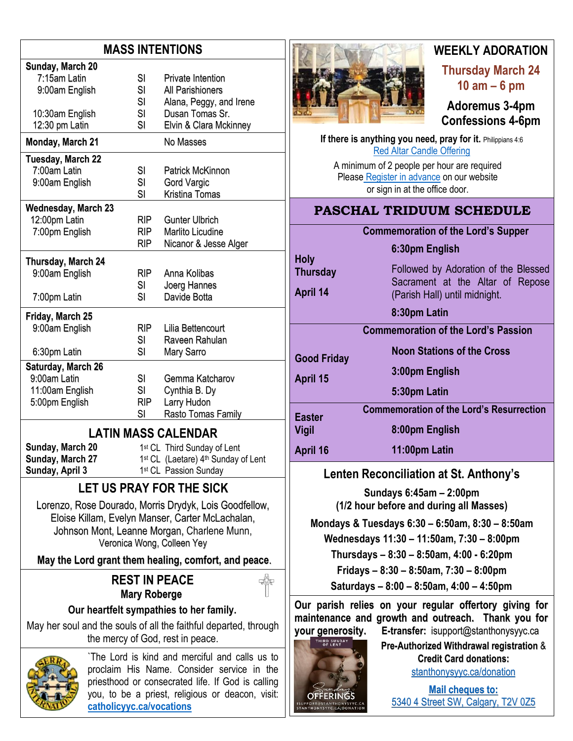# **MASS INTENTIONS**

| Sunday, March 20                                                                                     |            |                                                  |  |  |  |
|------------------------------------------------------------------------------------------------------|------------|--------------------------------------------------|--|--|--|
| 7:15am Latin                                                                                         | SI         | <b>Private Intention</b>                         |  |  |  |
| 9:00am English                                                                                       | SI         | All Parishioners                                 |  |  |  |
|                                                                                                      | SI         | Alana, Peggy, and Irene                          |  |  |  |
| 10:30am English                                                                                      | SI         | Dusan Tomas Sr.                                  |  |  |  |
| 12:30 pm Latin                                                                                       | SI         | Elvin & Clara Mckinney                           |  |  |  |
| <b>Monday, March 21</b>                                                                              |            | No Masses                                        |  |  |  |
| Tuesday, March 22                                                                                    |            |                                                  |  |  |  |
| 7:00am Latin                                                                                         | SI         | <b>Patrick McKinnon</b>                          |  |  |  |
| 9:00am English                                                                                       | SI         | <b>Gord Vargic</b>                               |  |  |  |
|                                                                                                      | SI         | Kristina Tomas                                   |  |  |  |
| <b>Wednesday, March 23</b>                                                                           |            |                                                  |  |  |  |
| 12:00pm Latin                                                                                        | <b>RIP</b> | <b>Gunter Ulbrich</b>                            |  |  |  |
| 7:00pm English                                                                                       | <b>RIP</b> | <b>Marlito Licudine</b>                          |  |  |  |
|                                                                                                      | <b>RIP</b> | Nicanor & Jesse Alger                            |  |  |  |
| Thursday, March 24                                                                                   |            |                                                  |  |  |  |
| 9:00am English                                                                                       | <b>RIP</b> | Anna Kolibas                                     |  |  |  |
|                                                                                                      | SI         | Joerg Hannes                                     |  |  |  |
| 7:00pm Latin                                                                                         | SI         | Davide Botta                                     |  |  |  |
|                                                                                                      |            |                                                  |  |  |  |
| Friday, March 25                                                                                     |            |                                                  |  |  |  |
| 9:00am English                                                                                       | <b>RIP</b> | Lilia Bettencourt                                |  |  |  |
|                                                                                                      | SI         | Raveen Rahulan                                   |  |  |  |
| 6:30pm Latin                                                                                         | SI         | Mary Sarro                                       |  |  |  |
| Saturday, March 26                                                                                   |            |                                                  |  |  |  |
| 9:00am Latin                                                                                         | SI         | Gemma Katcharov                                  |  |  |  |
| 11:00am English                                                                                      | <b>SI</b>  | Cynthia B. Dy                                    |  |  |  |
| 5:00pm English                                                                                       | <b>RIP</b> | Larry Hudon                                      |  |  |  |
|                                                                                                      | SI         | Rasto Tomas Family                               |  |  |  |
|                                                                                                      |            | <b>LATIN MASS CALENDAR</b>                       |  |  |  |
| Sunday, March 20<br>1st CL Third Sunday of Lent                                                      |            |                                                  |  |  |  |
| Sunday, March 27                                                                                     |            | 1st CL (Laetare) 4th Sunday of Lent              |  |  |  |
| Sunday, April 3                                                                                      |            | 1st CL Passion Sunday                            |  |  |  |
| LET US PRAY FOR THE SICK                                                                             |            |                                                  |  |  |  |
| Lorenzo, Rose Dourado, Morris Drydyk, Lois Goodfellow,                                               |            |                                                  |  |  |  |
| Eloise Killam, Evelyn Manser, Carter McLachalan,                                                     |            |                                                  |  |  |  |
| Johnson Mont, Leanne Morgan, Charlene Munn,                                                          |            |                                                  |  |  |  |
| Veronica Wong, Colleen Yey                                                                           |            |                                                  |  |  |  |
| May the Lord grant them healing, comfort, and peace.                                                 |            |                                                  |  |  |  |
|                                                                                                      |            |                                                  |  |  |  |
| <b>REST IN PEACE</b><br><b>Mary Roberge</b>                                                          |            |                                                  |  |  |  |
|                                                                                                      |            | Our heartfelt sympathies to her family.          |  |  |  |
|                                                                                                      |            |                                                  |  |  |  |
| May her soul and the souls of all the faithful departed, through<br>the mercy of God, rest in peace. |            |                                                  |  |  |  |
|                                                                                                      |            | The Lord is kind and merciful and calls us to    |  |  |  |
| proclaim His Name. Consider service in the                                                           |            |                                                  |  |  |  |
| priesthood or consecrated life. If God is calling                                                    |            |                                                  |  |  |  |
|                                                                                                      |            | you, to be a priest, religious or deacon, visit: |  |  |  |

**[catholicyyc.ca/vocations](http://www.catholicyyc.ca/vocations)**



# **WEEKLY ADORATION**

**Thursday March 24 10 am – 6 pm**

**Adoremus 3-4pm Confessions 4-6pm**

**If there is anything you need, pray for it. Philippians 4:6** [Red Altar Candle Offering](https://stanthonysyyc.ca/wp-content/uploads/2020/10/RED-ALTAR-CANDLE-OFFERING.pdf)

A minimum of 2 people per hour are required Please Register [in advance](https://volunteersignup.org/EXBPK) on our website or sign in at the office door.

# **PASCHAL TRIDUUM SCHEDULE**

# **Commemoration of the Lord's Supper**

Followed by Adoration of the Blessed Sacrament at the Altar of Repose

**6:30pm English**

**Thursday**

**Holy** 

**April 14**

**Good Friday**

**April 15**

**8:30pm Latin** 

**Commemoration of the Lord's Passion**

(Parish Hall) until midnight.

**Noon Stations of the Cross**

**3:00pm English**

**5:30pm Latin** 

**Easter Vigil Commemoration of the Lord's Resurrection 8:00pm English**

#### **April 16 11:00pm Latin**

# **Lenten Reconciliation at St. Anthony's**

**Sundays 6:45am – 2:00pm (1/2 hour before and during all Masses)**

**Mondays & Tuesdays 6:30 – 6:50am, 8:30 – 8:50am**

**Wednesdays 11:30 – 11:50am, 7:30 – 8:00pm**

**Thursdays – 8:30 – 8:50am, 4:00 - 6:20pm**

**Fridays – 8:30 – 8:50am, 7:30 – 8:00pm**

**Saturdays – 8:00 – 8:50am, 4:00 – 4:50pm**

**Our parish relies on your regular offertory giving for maintenance and growth and outreach. Thank you for your generosity. E-transfer:** isupport@stanthonysyyc.ca

# **Pre-Authorized Withdrawal registration** & **Credit Card donations:** [stanthonysyyc.ca/donation](https://stanthonysyyc.ca/donation/)

**Mail cheques to:** 5340 4 Street SW, Calgary, T2V 0Z5